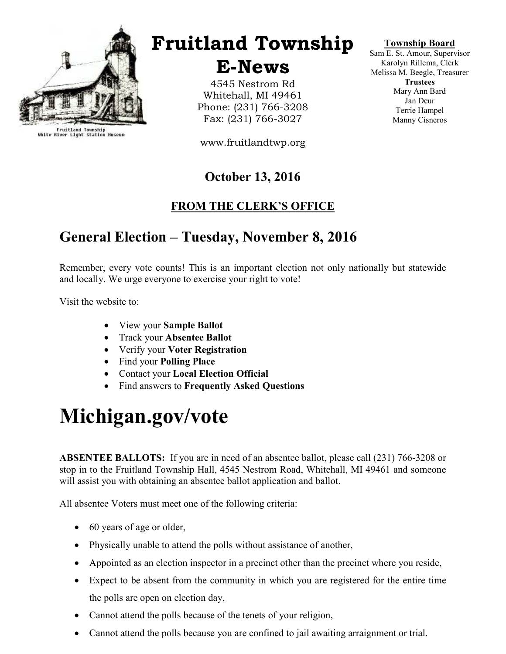

Fruitland Township<br>White River Light Station Museum

## Fruitland Township

E-News

4545 Nestrom Rd Whitehall, MI 49461 Phone: (231) 766-3208 Fax: (231) 766-3027

www.fruitlandtwp.org

### October 13, 2016

#### FROM THE CLERK'S OFFICE

### General Election – Tuesday, November 8, 2016

Remember, every vote counts! This is an important election not only nationally but statewide and locally. We urge everyone to exercise your right to vote!

Visit the website to:

- View your **Sample Ballot**
- Track your Absentee Ballot
- Verify your Voter Registration
- Find your Polling Place
- Contact your Local Election Official
- Find answers to Frequently Asked Questions

# Michigan.gov/vote

ABSENTEE BALLOTS: If you are in need of an absentee ballot, please call (231) 766-3208 or stop in to the Fruitland Township Hall, 4545 Nestrom Road, Whitehall, MI 49461 and someone will assist you with obtaining an absentee ballot application and ballot.

All absentee Voters must meet one of the following criteria:

- 60 years of age or older,
- Physically unable to attend the polls without assistance of another,
- Appointed as an election inspector in a precinct other than the precinct where you reside,
- Expect to be absent from the community in which you are registered for the entire time the polls are open on election day,
- Cannot attend the polls because of the tenets of your religion,
- Cannot attend the polls because you are confined to jail awaiting arraignment or trial.

#### Township Board

Sam E. St. Amour, Supervisor Karolyn Rillema, Clerk Melissa M. Beegle, Treasurer **Trustees** Mary Ann Bard Jan Deur Terrie Hampel Manny Cisneros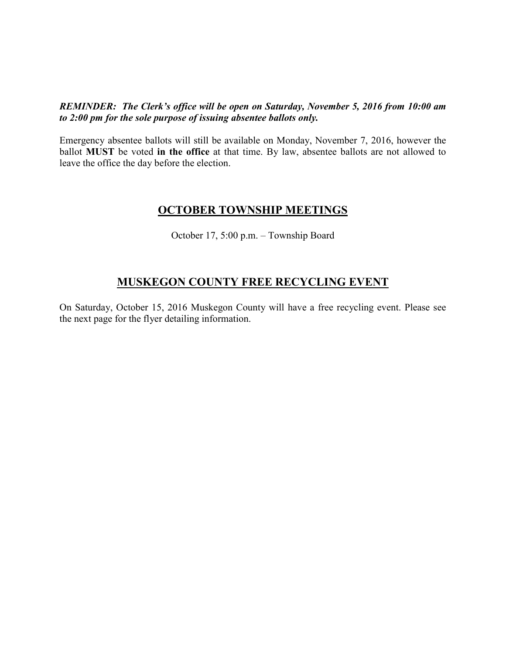REMINDER: The Clerk's office will be open on Saturday, November 5, 2016 from 10:00 am to 2:00 pm for the sole purpose of issuing absentee ballots only.

Emergency absentee ballots will still be available on Monday, November 7, 2016, however the ballot **MUST** be voted in the office at that time. By law, absentee ballots are not allowed to leave the office the day before the election.

#### OCTOBER TOWNSHIP MEETINGS

October 17, 5:00 p.m. – Township Board

#### MUSKEGON COUNTY FREE RECYCLING EVENT

On Saturday, October 15, 2016 Muskegon County will have a free recycling event. Please see the next page for the flyer detailing information.